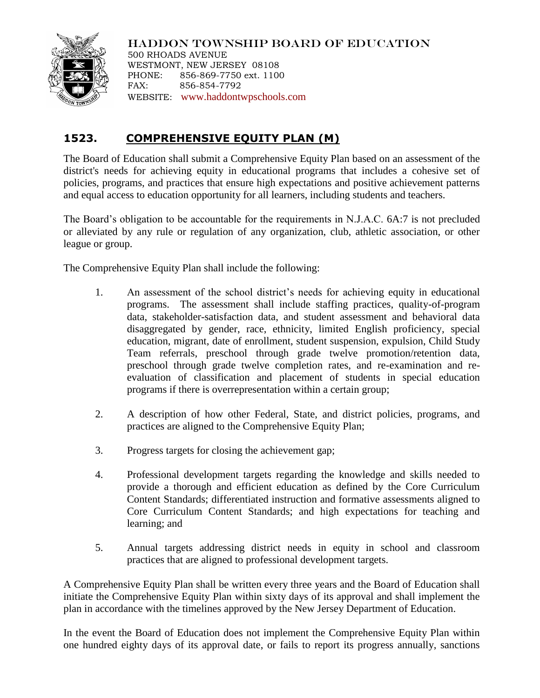

HADDON TOWNSHIP BOARD OF EDUCATION 500 RHOADS AVENUE WESTMONT, NEW JERSEY 08108 PHONE: 856-869-7750 ext. 1100 FAX: 856-854-7792 WEBSITE: [www.haddontwpschools.com](http://www.haddontwpschools.com/)

## **1523. COMPREHENSIVE EQUITY PLAN (M)**

The Board of Education shall submit a Comprehensive Equity Plan based on an assessment of the district's needs for achieving equity in educational programs that includes a cohesive set of policies, programs, and practices that ensure high expectations and positive achievement patterns and equal access to education opportunity for all learners, including students and teachers.

The Board's obligation to be accountable for the requirements in N.J.A.C. 6A:7 is not precluded or alleviated by any rule or regulation of any organization, club, athletic association, or other league or group.

The Comprehensive Equity Plan shall include the following:

- 1. An assessment of the school district's needs for achieving equity in educational programs. The assessment shall include staffing practices, quality-of-program data, stakeholder-satisfaction data, and student assessment and behavioral data disaggregated by gender, race, ethnicity, limited English proficiency, special education, migrant, date of enrollment, student suspension, expulsion, Child Study Team referrals, preschool through grade twelve promotion/retention data, preschool through grade twelve completion rates, and re-examination and reevaluation of classification and placement of students in special education programs if there is overrepresentation within a certain group;
- 2. A description of how other Federal, State, and district policies, programs, and practices are aligned to the Comprehensive Equity Plan;
- 3. Progress targets for closing the achievement gap;
- 4. Professional development targets regarding the knowledge and skills needed to provide a thorough and efficient education as defined by the Core Curriculum Content Standards; differentiated instruction and formative assessments aligned to Core Curriculum Content Standards; and high expectations for teaching and learning; and
- 5. Annual targets addressing district needs in equity in school and classroom practices that are aligned to professional development targets.

A Comprehensive Equity Plan shall be written every three years and the Board of Education shall initiate the Comprehensive Equity Plan within sixty days of its approval and shall implement the plan in accordance with the timelines approved by the New Jersey Department of Education.

In the event the Board of Education does not implement the Comprehensive Equity Plan within one hundred eighty days of its approval date, or fails to report its progress annually, sanctions